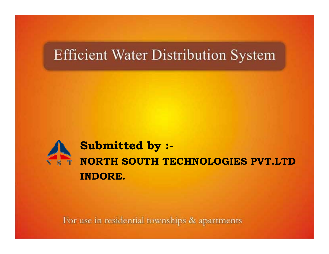#### **Efficient Water Distribution System**



**S b itt d b Submitted by :- NORTH SOUTH TECHNOLOGIES PVT.LTDINDORE.**

For use in residential townships & apartments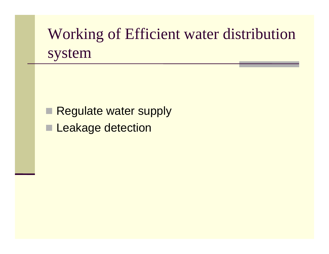## Working of Efficient water distribution system

 $\Box$ Regulate water supply

**Leakage detection**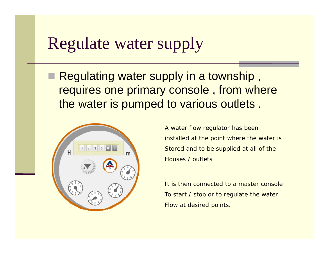#### Regulate water supply

■ Regulating water supply in a township, requires one primary console , from where the water is pumped to various outlets .



A water flow regulator has been installed at the point where the water is Stored and to be supplied at all of the Houses / outlets

It is then connected to a master console To start / stop or to regulate the water Flow at desired points.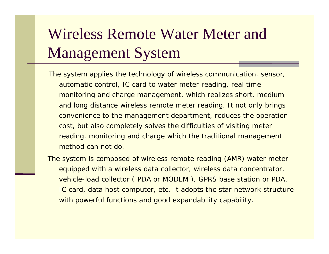# Wireless Remote Water Meter and Management System

The system applies the technology of wireless communication, sensor, automatic control, IC card to water meter reading, real time monitoring and charge management, which realizes short, medium and long distance wireless remote meter reading. It not only brings convenience to the management department, reduces the operation cost, but also completely solves the difficulties of visiting meter reading, monitoring and charge which the traditional management method can not do.

The system is composed of wireless remote reading (AMR) water meter equipped with a wireless data collector, wireless data concentrator, vehicle-load collector ( PDA or MODEM ), GPRS base station or PDA, IC card, data host computer, etc. It adopts the star network structure with powerful functions and good expandability capability.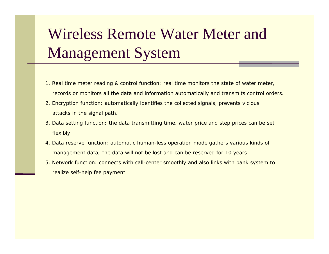# Wireless Remote Water Meter and Management System

- 1. Real time meter reading & control function: real time monitors the state of water meter, records or monitors all the data and information automatically and transmits control orders.
- 2. Encryption function: automatically identifies the collected signals, prevents vicious attacks in the si gnal path.
- 3. Data setting function: the data transmitting time, water price and step prices can be set flexibly.
- 4. Data reserve function: automatic human-less operation mode gathers various kinds of management data; the data will not be lost and can be reserved for 10 years.
- 5. Network function: connects with call-center smoothly and also links with bank system to realize self-help fee payment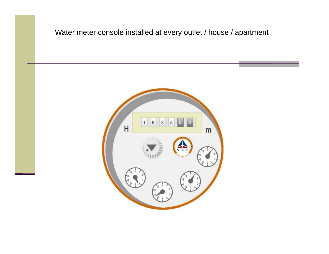

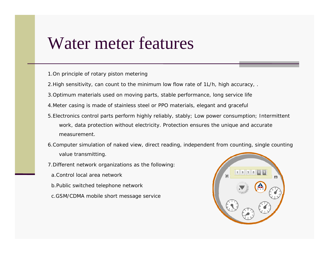#### Water meter features

- 1.On principle of rotary piston metering
- 2.High sensitivity, can count to the minimum low flow rate of 1L/h, high accuracy, .
- 3.Optimum materials used on moving parts, stable performance, long service life
- 4.Meter casing is made of stainless steel or PPO materials, elegant and graceful
- 5.Electronics control parts perform highly reliably, stably; Low power consumption; Intermittent work, data protection without electricity. Protection ensures the unique and accurate measurement.
- 6.Computer simulation of naked view, direct reading, independent from counting, single counting value transmitting.
- 7.Different network organizations as the following:
- a Control local area network
- b.Public switched telephone network
- c.GSM/CDMA mobile short message service

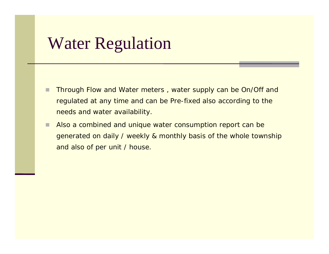#### Water Regulation

- Through Flow and Water meters , water supply can be On/Off and regulated at any time and can be Pre-fixed also according to the needs and water availability.
- $\Box$  Also a combined and unique water consumption report can be generated on daily / weekly & monthly basis of the whole township and also of per unit / house.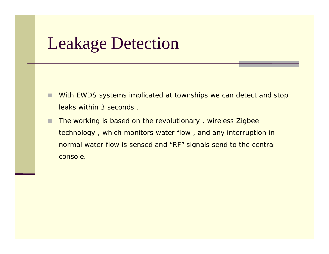## Leakage Detection

- $\Box$  With EWDS systems implicated at townships we can detect and stop leaks within 3 seconds .
- П The working is based on the revolutionary , wireless Zigbee technology , which monitors water flow , and any interruption in normal water flow is sensed and "RF" signals send to the central console.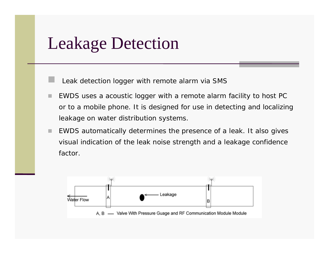#### Leakage Detection

 $\Box$  Leak detection logger with remote alarm via SMS

- EWDS uses a acoustic logger with a remote alarm facility to host PC or to a mobile phone. It is designed for use in detecting and localizing leakage on water distribution systems.
- ٠ EWDS automatically determines the presence of a leak. It also gives visual indication of the leak noise strength and a leakage confidence factor.

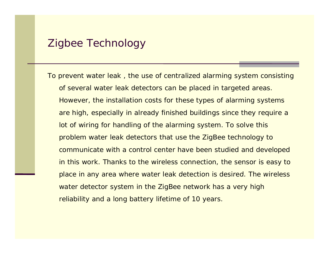#### Zigbee Technology

To prevent water leak, the use of centralized alarming system consisting of several water leak detectors can be placed in targeted areas. However, the installation costs for these types of alarming systems are high, especially in already finished buildings since they require a lot of wiring for handling of the alarming system. To solve this problem water leak detectors that use the ZigBee technology to communicate with a control center have been studied and developed in this work. Thanks to the wireless connection, the sensor is easy to place in any area where water leak detection is desired. The wireless water detector system in the ZigBee network has a very high reliability and a long battery lifetime of 10 years.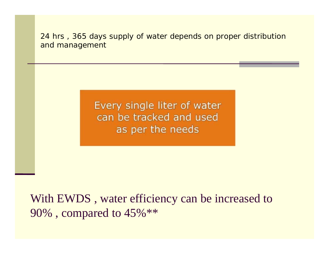24 hrs , 365 days supply of water depends on proper distribution and management

> Every single liter of water can be tracked and used as per the needs

With EWDS , water efficiency can be increased to 90%, compared to  $45\%$ \*\*